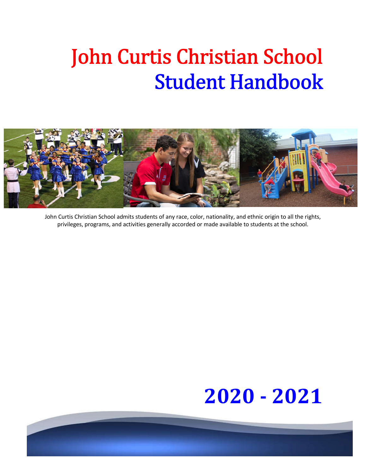# John Curtis Christian School Student Handbook



John Curtis Christian School admits students of any race, color, nationality, and ethnic origin to all the rights, privileges, programs, and activities generally accorded or made available to students at the school.

# **2020 - 2021**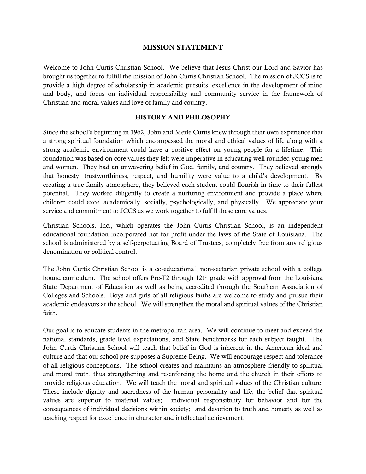## **MISSION STATEMENT**

Welcome to John Curtis Christian School. We believe that Jesus Christ our Lord and Savior has brought us together to fulfill the mission of John Curtis Christian School. The mission of JCCS is to provide a high degree of scholarship in academic pursuits, excellence in the development of mind and body, and focus on individual responsibility and community service in the framework of Christian and moral values and love of family and country.

## **HISTORY AND PHILOSOPHY**

Since the school's beginning in 1962, John and Merle Curtis knew through their own experience that a strong spiritual foundation which encompassed the moral and ethical values of life along with a strong academic environment could have a positive effect on young people for a lifetime. This foundation was based on core values they felt were imperative in educating well rounded young men and women. They had an unwavering belief in God, family, and country. They believed strongly that honesty, trustworthiness, respect, and humility were value to a child's development. By creating a true family atmosphere, they believed each student could flourish in time to their fullest potential. They worked diligently to create a nurturing environment and provide a place where children could excel academically, socially, psychologically, and physically. We appreciate your service and commitment to JCCS as we work together to fulfill these core values.

Christian Schools, Inc., which operates the John Curtis Christian School, is an independent educational foundation incorporated not for profit under the laws of the State of Louisiana. The school is administered by a self-perpetuating Board of Trustees, completely free from any religious denomination or political control.

The John Curtis Christian School is a co-educational, non-sectarian private school with a college bound curriculum. The school offers Pre-T2 through 12th grade with approval from the Louisiana State Department of Education as well as being accredited through the Southern Association of Colleges and Schools. Boys and girls of all religious faiths are welcome to study and pursue their academic endeavors at the school. We will strengthen the moral and spiritual values of the Christian faith.

Our goal is to educate students in the metropolitan area. We will continue to meet and exceed the national standards, grade level expectations, and State benchmarks for each subject taught. The John Curtis Christian School will teach that belief in God is inherent in the American ideal and culture and that our school pre-supposes a Supreme Being. We will encourage respect and tolerance of all religious conceptions. The school creates and maintains an atmosphere friendly to spiritual and moral truth, thus strengthening and re-enforcing the home and the church in their efforts to provide religious education. We will teach the moral and spiritual values of the Christian culture. These include dignity and sacredness of the human personality and life; the belief that spiritual values are superior to material values; individual responsibility for behavior and for the consequences of individual decisions within society; and devotion to truth and honesty as well as teaching respect for excellence in character and intellectual achievement.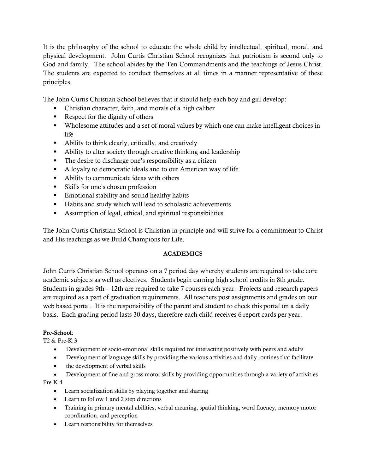It is the philosophy of the school to educate the whole child by intellectual, spiritual, moral, and physical development. John Curtis Christian School recognizes that patriotism is second only to God and family. The school abides by the Ten Commandments and the teachings of Jesus Christ. The students are expected to conduct themselves at all times in a manner representative of these principles.

The John Curtis Christian School believes that it should help each boy and girl develop:

- Christian character, faith, and morals of a high caliber
- Respect for the dignity of others
- Wholesome attitudes and a set of moral values by which one can make intelligent choices in life
- Ability to think clearly, critically, and creatively
- Ability to alter society through creative thinking and leadership
- The desire to discharge one's responsibility as a citizen
- A loyalty to democratic ideals and to our American way of life
- Ability to communicate ideas with others
- Skills for one's chosen profession
- **Emotional stability and sound healthy habits**
- Habits and study which will lead to scholastic achievements
- Assumption of legal, ethical, and spiritual responsibilities

The John Curtis Christian School is Christian in principle and will strive for a commitment to Christ and His teachings as we Build Champions for Life.

# **ACADEMICS**

John Curtis Christian School operates on a 7 period day whereby students are required to take core academic subjects as well as electives. Students begin earning high school credits in 8th grade. Students in grades 9th – 12th are required to take 7 courses each year. Projects and research papers are required as a part of graduation requirements. All teachers post assignments and grades on our web based portal. It is the responsibility of the parent and student to check this portal on a daily basis. Each grading period lasts 30 days, therefore each child receives 6 report cards per year.

## **Pre-School**:

T2 & Pre-K 3

- Development of socio-emotional skills required for interacting positively with peers and adults
- Development of language skills by providing the various activities and daily routines that facilitate
- the development of verbal skills
- Development of fine and gross motor skills by providing opportunities through a variety of activities Pre-K 4
	- Learn socialization skills by playing together and sharing
	- Learn to follow 1 and 2 step directions
	- Training in primary mental abilities, verbal meaning, spatial thinking, word fluency, memory motor coordination, and perception
	- Learn responsibility for themselves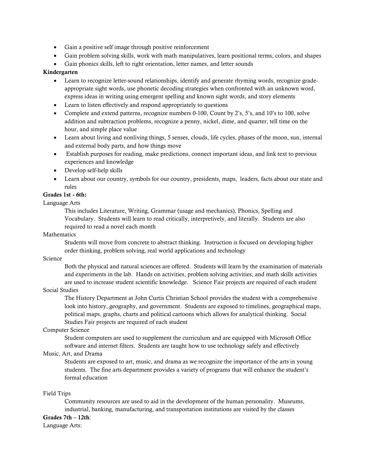- Gain a positive self image through positive reinforcement
- Gain problem solving skills, work with math manipulatives, learn positional terms, colors, and shapes
- Gain phonics skills, left to right orientation, letter names, and letter sounds

#### **Kindergarten**

- Learn to recognize letter-sound relationships, identify and generate rhyming words, recognize gradeappropriate sight words, use phonetic decoding strategies when confronted with an unknown word, express ideas in writing using emergent spelling and known sight words, and story elements
- Learn to listen effectively and respond appropriately to questions
- Complete and extend patterns, recognize numbers 0-100, Count by 2's, 5's, and 10's to 100, solve addition and subtraction problems, recognize a penny, nickel, dime, and quarter, tell time on the hour, and simple place value
- Learn about living and nonliving things, 5 senses, clouds, life cycles, phases of the moon, sun, internal and external body parts, and how things move
- Establish purposes for reading, make predictions, connect important ideas, and link text to previous experiences and knowledge
- Develop self-help skills
- Learn about our country, symbols for our country, presidents, maps, leaders, facts about our state and rules

## **Grades 1st - 6th:**

#### Language Arts

This includes Literature, Writing, Grammar (usage and mechanics), Phonics, Spelling and Vocabulary. Students will learn to read critically, interpretively, and literally. Students are also required to read a novel each month

#### **Mathematics**

Students will move from concrete to abstract thinking. Instruction is focused on developing higher order thinking, problem solving, real world applications and technology

#### Science

Both the physical and natural sciences are offered. Students will learn by the examination of materials and experiments in the lab. Hands on activities, problem solving activities, and math skills activities are used to increase student scientific knowledge. Science Fair projects are required of each student

#### Social Studies

The History Department at John Curtis Christian School provides the student with a comprehensive look into history, geography, and government. Students are exposed to timelines, geographical maps, political maps, graphs, charts and political cartoons which allows for analytical thinking. Social Studies Fair projects are required of each student

#### Computer Science

Student computers are used to supplement the curriculum and are equipped with Microsoft Office software and internet filters. Students are taught how to use technology safely and effectively

#### Music, Art, and Drama

Students are exposed to art, music, and drama as we recognize the importance of the arts in young students. The fine arts department provides a variety of programs that will enhance the student's formal education

Field Trips

Community resources are used to aid in the development of the human personality. Museums, industrial, banking, manufacturing, and transportation institutions are visited by the classes

#### **Grades 7th – 12th**:

Language Arts: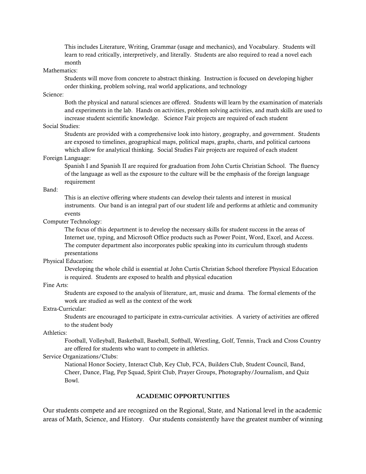This includes Literature, Writing, Grammar (usage and mechanics), and Vocabulary. Students will learn to read critically, interpretively, and literally. Students are also required to read a novel each month

#### Mathematics:

Students will move from concrete to abstract thinking. Instruction is focused on developing higher order thinking, problem solving, real world applications, and technology

#### Science:

Both the physical and natural sciences are offered. Students will learn by the examination of materials and experiments in the lab. Hands on activities, problem solving activities, and math skills are used to increase student scientific knowledge. Science Fair projects are required of each student

## Social Studies:

Students are provided with a comprehensive look into history, geography, and government. Students are exposed to timelines, geographical maps, political maps, graphs, charts, and political cartoons which allow for analytical thinking. Social Studies Fair projects are required of each student

#### Foreign Language:

Spanish I and Spanish II are required for graduation from John Curtis Christian School. The fluency of the language as well as the exposure to the culture will be the emphasis of the foreign language requirement

#### Band:

This is an elective offering where students can develop their talents and interest in musical instruments. Our band is an integral part of our student life and performs at athletic and community events

#### Computer Technology:

The focus of this department is to develop the necessary skills for student success in the areas of Internet use, typing, and Microsoft Office products such as Power Point, Word, Excel, and Access. The computer department also incorporates public speaking into its curriculum through students presentations

#### Physical Education:

Developing the whole child is essential at John Curtis Christian School therefore Physical Education is required. Students are exposed to health and physical education

## Fine Arts:

Students are exposed to the analysis of literature, art, music and drama. The formal elements of the work are studied as well as the context of the work

## Extra-Curricular:

Students are encouraged to participate in extra-curricular activities. A variety of activities are offered to the student body

#### Athletics:

Football, Volleyball, Basketball, Baseball, Softball, Wrestling, Golf, Tennis, Track and Cross Country are offered for students who want to compete in athletics.

#### Service Organizations/Clubs:

National Honor Society, Interact Club, Key Club, FCA, Builders Club, Student Council, Band, Cheer, Dance, Flag, Pep Squad, Spirit Club, Prayer Groups, Photography/Journalism, and Quiz Bowl.

#### **ACADEMIC OPPORTUNITIES**

Our students compete and are recognized on the Regional, State, and National level in the academic areas of Math, Science, and History. Our students consistently have the greatest number of winning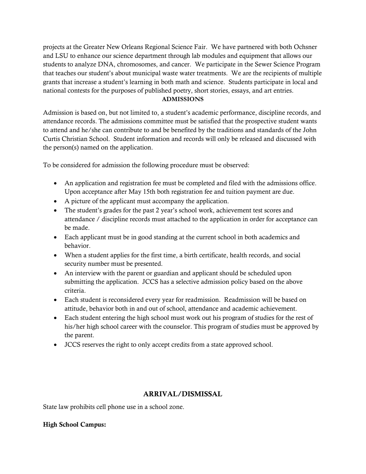projects at the Greater New Orleans Regional Science Fair. We have partnered with both Ochsner and LSU to enhance our science department through lab modules and equipment that allows our students to analyze DNA, chromosomes, and cancer. We participate in the Sewer Science Program that teaches our student's about municipal waste water treatments. We are the recipients of multiple grants that increase a student's learning in both math and science. Students participate in local and national contests for the purposes of published poetry, short stories, essays, and art entries.

## **ADMISSIONS**

Admission is based on, but not limited to, a student's academic performance, discipline records, and attendance records. The admissions committee must be satisfied that the prospective student wants to attend and he/she can contribute to and be benefited by the traditions and standards of the John Curtis Christian School. Student information and records will only be released and discussed with the person(s) named on the application.

To be considered for admission the following procedure must be observed:

- An application and registration fee must be completed and filed with the admissions office. Upon acceptance after May 15th both registration fee and tuition payment are due.
- A picture of the applicant must accompany the application.
- The student's grades for the past 2 year's school work, achievement test scores and attendance / discipline records must attached to the application in order for acceptance can be made.
- Each applicant must be in good standing at the current school in both academics and behavior.
- When a student applies for the first time, a birth certificate, health records, and social security number must be presented.
- An interview with the parent or guardian and applicant should be scheduled upon submitting the application. JCCS has a selective admission policy based on the above criteria.
- Each student is reconsidered every year for readmission. Readmission will be based on attitude, behavior both in and out of school, attendance and academic achievement.
- Each student entering the high school must work out his program of studies for the rest of his/her high school career with the counselor. This program of studies must be approved by the parent.
- JCCS reserves the right to only accept credits from a state approved school.

# **ARRIVAL/DISMISSAL**

State law prohibits cell phone use in a school zone.

# **High School Campus:**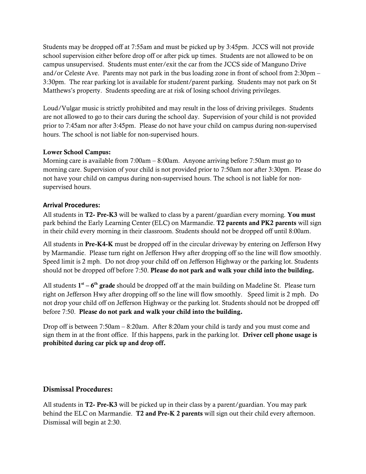Students may be dropped off at 7:55am and must be picked up by 3:45pm. JCCS will not provide school supervision either before drop off or after pick up times. Students are not allowed to be on campus unsupervised. Students must enter/exit the car from the JCCS side of Manguno Drive and/or Celeste Ave. Parents may not park in the bus loading zone in front of school from 2:30pm – 3:30pm. The rear parking lot is available for student/parent parking. Students may not park on St Matthews's property. Students speeding are at risk of losing school driving privileges.

Loud/Vulgar music is strictly prohibited and may result in the loss of driving privileges. Students are not allowed to go to their cars during the school day. Supervision of your child is not provided prior to 7:45am nor after 3:45pm. Please do not have your child on campus during non-supervised hours. The school is not liable for non-supervised hours.

## **Lower School Campus:**

Morning care is available from 7:00am – 8:00am. Anyone arriving before 7:50am must go to morning care. Supervision of your child is not provided prior to 7:50am nor after 3:30pm. Please do not have your child on campus during non-supervised hours. The school is not liable for nonsupervised hours.

## **Arrival Procedures:**

All students in **T2- Pre-K3** will be walked to class by a parent/guardian every morning. **You must** park behind the Early Learning Center (ELC) on Marmandie. **T2 parents and PK2 parents** will sign in their child every morning in their classroom. Students should not be dropped off until 8:00am.

All students in **Pre-K4-K** must be dropped off in the circular driveway by entering on Jefferson Hwy by Marmandie. Please turn right on Jefferson Hwy after dropping off so the line will flow smoothly. Speed limit is 2 mph. Do not drop your child off on Jefferson Highway or the parking lot. Students should not be dropped off before 7:50. **Please do not park and walk your child into the building.**

All students **1st – 6th grade** should be dropped off at the main building on Madeline St. Please turn right on Jefferson Hwy after dropping off so the line will flow smoothly. Speed limit is 2 mph. Do not drop your child off on Jefferson Highway or the parking lot. Students should not be dropped off before 7:50. **Please do not park and walk your child into the building.**

Drop off is between 7:50am – 8:20am. After 8:20am your child is tardy and you must come and sign them in at the front office. If this happens, park in the parking lot. **Driver cell phone usage is prohibited during car pick up and drop off.**

# **Dismissal Procedures:**

All students in **T2- Pre-K3** will be picked up in their class by a parent/guardian. You may park behind the ELC on Marmandie. **T2 and Pre-K 2 parents** will sign out their child every afternoon. Dismissal will begin at 2:30.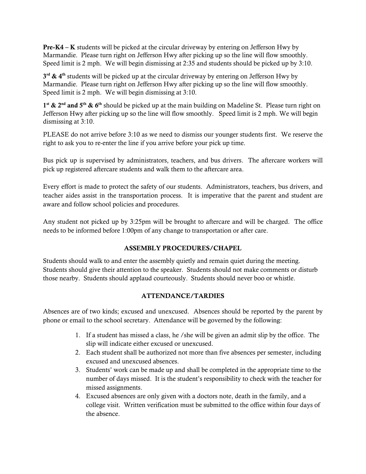**Pre-K4 – K** students will be picked at the circular driveway by entering on Jefferson Hwy by Marmandie. Please turn right on Jefferson Hwy after picking up so the line will flow smoothly. Speed limit is 2 mph. We will begin dismissing at 2:35 and students should be picked up by 3:10.

**3rd & 4th** students will be picked up at the circular driveway by entering on Jefferson Hwy by Marmandie. Please turn right on Jefferson Hwy after picking up so the line will flow smoothly. Speed limit is 2 mph. We will begin dismissing at 3:10.

**1st & 2nd and 5th & 6th** should be picked up at the main building on Madeline St. Please turn right on Jefferson Hwy after picking up so the line will flow smoothly. Speed limit is 2 mph. We will begin dismissing at 3:10.

PLEASE do not arrive before 3:10 as we need to dismiss our younger students first. We reserve the right to ask you to re-enter the line if you arrive before your pick up time.

Bus pick up is supervised by administrators, teachers, and bus drivers. The aftercare workers will pick up registered aftercare students and walk them to the aftercare area.

Every effort is made to protect the safety of our students. Administrators, teachers, bus drivers, and teacher aides assist in the transportation process. It is imperative that the parent and student are aware and follow school policies and procedures.

Any student not picked up by 3:25pm will be brought to aftercare and will be charged. The office needs to be informed before 1:00pm of any change to transportation or after care.

# **ASSEMBLY PROCEDURES/CHAPEL**

Students should walk to and enter the assembly quietly and remain quiet during the meeting. Students should give their attention to the speaker. Students should not make comments or disturb those nearby. Students should applaud courteously. Students should never boo or whistle.

# **ATTENDANCE/TARDIES**

Absences are of two kinds; excused and unexcused. Absences should be reported by the parent by phone or email to the school secretary. Attendance will be governed by the following:

- 1. If a student has missed a class, he /she will be given an admit slip by the office. The slip will indicate either excused or unexcused.
- 2. Each student shall be authorized not more than five absences per semester, including excused and unexcused absences.
- 3. Students' work can be made up and shall be completed in the appropriate time to the number of days missed. It is the student's responsibility to check with the teacher for missed assignments.
- 4. Excused absences are only given with a doctors note, death in the family, and a college visit. Written verification must be submitted to the office within four days of the absence.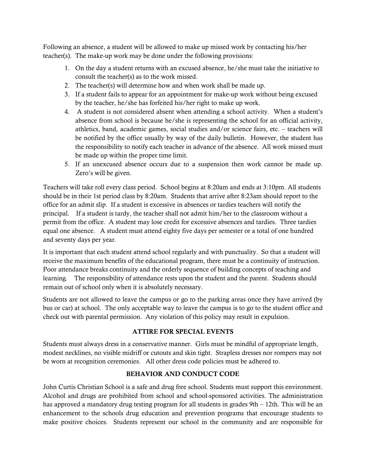Following an absence, a student will be allowed to make up missed work by contacting his/her teacher(s). The make-up work may be done under the following provisions:

- 1. On the day a student returns with an excused absence, he/she must take the initiative to consult the teacher(s) as to the work missed.
- 2. The teacher(s) will determine how and when work shall be made up.
- 3. If a student fails to appear for an appointment for make-up work without being excused by the teacher, he/she has forfeited his/her right to make up work.
- 4. A student is not considered absent when attending a school activity. When a student's absence from school is because he/she is representing the school for an official activity, athletics, band, academic games, social studies and/or science fairs, etc. – teachers will be notified by the office usually by way of the daily bulletin. However, the student has the responsibility to notify each teacher in advance of the absence. All work missed must be made up within the proper time limit.
- 5. If an unexcused absence occurs due to a suspension then work cannot be made up. Zero's will be given.

Teachers will take roll every class period. School begins at 8:20am and ends at 3:10pm. All students should be in their 1st period class by 8:20am. Students that arrive after 8:23am should report to the office for an admit slip. If a student is excessive in absences or tardies teachers will notify the principal. If a student is tardy, the teacher shall not admit him/her to the classroom without a permit from the office. A student may lose credit for excessive absences and tardies. Three tardies equal one absence. A student must attend eighty five days per semester or a total of one hundred and seventy days per year.

It is important that each student attend school regularly and with punctuality. So that a student will receive the maximum benefits of the educational program, there must be a continuity of instruction. Poor attendance breaks continuity and the orderly sequence of building concepts of teaching and learning. The responsibility of attendance rests upon the student and the parent. Students should remain out of school only when it is absolutely necessary.

Students are not allowed to leave the campus or go to the parking areas once they have arrived (by bus or car) at school. The only acceptable way to leave the campus is to go to the student office and check out with parental permission. Any violation of this policy may result in expulsion.

# **ATTIRE FOR SPECIAL EVENTS**

Students must always dress in a conservative manner. Girls must be mindful of appropriate length, modest necklines, no visible midriff or cutouts and skin tight. Strapless dresses nor rompers may not be worn at recognition ceremonies. All other dress code policies must be adhered to.

# **BEHAVIOR AND CONDUCT CODE**

John Curtis Christian School is a safe and drug free school. Students must support this environment. Alcohol and drugs are prohibited from school and school-sponsored activities. The administration has approved a mandatory drug testing program for all students in grades 9th – 12th. This will be an enhancement to the schools drug education and prevention programs that encourage students to make positive choices. Students represent our school in the community and are responsible for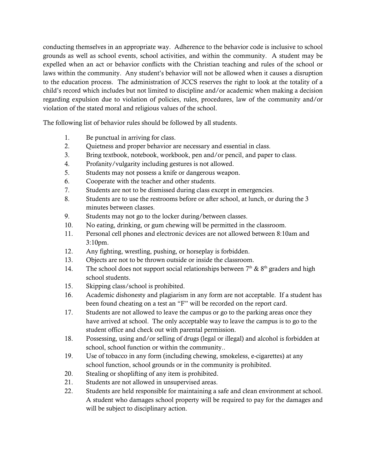conducting themselves in an appropriate way. Adherence to the behavior code is inclusive to school grounds as well as school events, school activities, and within the community. A student may be expelled when an act or behavior conflicts with the Christian teaching and rules of the school or laws within the community. Any student's behavior will not be allowed when it causes a disruption to the education process. The administration of JCCS reserves the right to look at the totality of a child's record which includes but not limited to discipline and/or academic when making a decision regarding expulsion due to violation of policies, rules, procedures, law of the community and/or violation of the stated moral and religious values of the school.

The following list of behavior rules should be followed by all students.

- 1. Be punctual in arriving for class.
- 2. Quietness and proper behavior are necessary and essential in class.
- 3. Bring textbook, notebook, workbook, pen and/or pencil, and paper to class.
- 4. Profanity/vulgarity including gestures is not allowed.
- 5. Students may not possess a knife or dangerous weapon.
- 6. Cooperate with the teacher and other students.
- 7. Students are not to be dismissed during class except in emergencies.
- 8. Students are to use the restrooms before or after school, at lunch, or during the 3 minutes between classes.
- 9. Students may not go to the locker during/between classes.
- 10. No eating, drinking, or gum chewing will be permitted in the classroom.
- 11. Personal cell phones and electronic devices are not allowed between 8:10am and 3:10pm.
- 12. Any fighting, wrestling, pushing, or horseplay is forbidden.
- 13. Objects are not to be thrown outside or inside the classroom.
- 14. The school does not support social relationships between  $7<sup>th</sup>$  &  $8<sup>th</sup>$  graders and high school students.
- 15. Skipping class/school is prohibited.
- 16. Academic dishonesty and plagiarism in any form are not acceptable. If a student has been found cheating on a test an "F" will be recorded on the report card.
- 17. Students are not allowed to leave the campus or go to the parking areas once they have arrived at school. The only acceptable way to leave the campus is to go to the student office and check out with parental permission.
- 18. Possessing, using and/or selling of drugs (legal or illegal) and alcohol is forbidden at school, school function or within the community..
- 19. Use of tobacco in any form (including chewing, smokeless, e-cigarettes) at any school function, school grounds or in the community is prohibited.
- 20. Stealing or shoplifting of any item is prohibited.
- 21. Students are not allowed in unsupervised areas.
- 22. Students are held responsible for maintaining a safe and clean environment at school. A student who damages school property will be required to pay for the damages and will be subject to disciplinary action.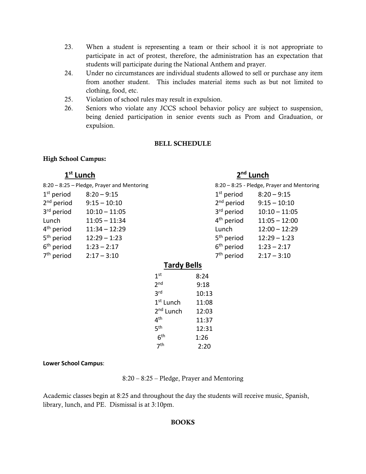- 23. When a student is representing a team or their school it is not appropriate to participate in act of protest, therefore, the administration has an expectation that students will participate during the National Anthem and prayer.
- 24. Under no circumstances are individual students allowed to sell or purchase any item from another student. This includes material items such as but not limited to clothing, food, etc.
- 25. Violation of school rules may result in expulsion.
- 26. Seniors who violate any JCCS school behavior policy are subject to suspension, being denied participation in senior events such as Prom and Graduation, or expulsion.

#### **BELL SCHEDULE**

## **High School Campus:**

# **1st Lunch 2nd Lunch**

|                        | 8:20 - 8:25 - Pledge, Prayer and Mentoring |                       |       | 8:20 - 8:25 - Pledge, Prayer and Mentoring |                 |
|------------------------|--------------------------------------------|-----------------------|-------|--------------------------------------------|-----------------|
| $1st$ period           | $8:20 - 9:15$                              |                       |       | $1st$ period                               | $8:20 - 9:15$   |
| $2nd$ period           | $9:15 - 10:10$                             |                       |       | $2nd$ period                               | $9:15 - 10:10$  |
| 3 <sup>rd</sup> period | $10:10 - 11:05$                            |                       |       | 3 <sup>rd</sup> period                     | $10:10 - 11:05$ |
| Lunch                  | $11:05 - 11:34$                            |                       |       | $4th$ period                               | $11:05 - 12:00$ |
| 4 <sup>th</sup> period | $11:34 - 12:29$                            |                       |       | Lunch                                      | $12:00 - 12:29$ |
| $5th$ period           | $12:29 - 1:23$                             |                       |       | 5 <sup>th</sup> period                     | $12:29 - 1:23$  |
| 6 <sup>th</sup> period | $1:23 - 2:17$                              |                       |       | 6 <sup>th</sup> period                     | $1:23 - 2:17$   |
| 7 <sup>th</sup> period | $2:17 - 3:10$                              |                       |       | $7th$ period                               | $2:17 - 3:10$   |
| <b>Tardy Bells</b>     |                                            |                       |       |                                            |                 |
|                        |                                            | 1 <sup>st</sup>       | 8:24  |                                            |                 |
|                        |                                            | 2 <sub>nd</sub>       | 9:18  |                                            |                 |
|                        |                                            | 3 <sup>rd</sup>       | 10:13 |                                            |                 |
|                        |                                            | 1 <sup>st</sup> Lunch | 11:08 |                                            |                 |

**Lower School Campus**:

8:20 – 8:25 – Pledge, Prayer and Mentoring

2nd Lunch 12:03 4th 11:37 5th 12:31

 $6^{th}$  1:26<br>  $7^{th}$  2:20

 $2:20$ 

Academic classes begin at 8:25 and throughout the day the students will receive music, Spanish, library, lunch, and PE. Dismissal is at 3:10pm.

## **BOOKS**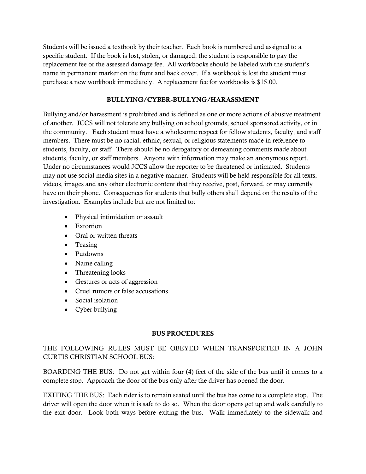Students will be issued a textbook by their teacher. Each book is numbered and assigned to a specific student. If the book is lost, stolen, or damaged, the student is responsible to pay the replacement fee or the assessed damage fee. All workbooks should be labeled with the student's name in permanent marker on the front and back cover. If a workbook is lost the student must purchase a new workbook immediately. A replacement fee for workbooks is \$15.00.

## **BULLYING/CYBER-BULLYNG/HARASSMENT**

Bullying and/or harassment is prohibited and is defined as one or more actions of abusive treatment of another. JCCS will not tolerate any bullying on school grounds, school sponsored activity, or in the community. Each student must have a wholesome respect for fellow students, faculty, and staff members. There must be no racial, ethnic, sexual, or religious statements made in reference to students, faculty, or staff. There should be no derogatory or demeaning comments made about students, faculty, or staff members. Anyone with information may make an anonymous report. Under no circumstances would JCCS allow the reporter to be threatened or intimated. Students may not use social media sites in a negative manner. Students will be held responsible for all texts, videos, images and any other electronic content that they receive, post, forward, or may currently have on their phone. Consequences for students that bully others shall depend on the results of the investigation. Examples include but are not limited to:

- Physical intimidation or assault
- Extortion
- Oral or written threats
- Teasing
- Putdowns
- Name calling
- Threatening looks
- Gestures or acts of aggression
- Cruel rumors or false accusations
- Social isolation
- Cyber-bullying

## **BUS PROCEDURES**

# THE FOLLOWING RULES MUST BE OBEYED WHEN TRANSPORTED IN A JOHN CURTIS CHRISTIAN SCHOOL BUS:

BOARDING THE BUS: Do not get within four (4) feet of the side of the bus until it comes to a complete stop. Approach the door of the bus only after the driver has opened the door.

EXITING THE BUS: Each rider is to remain seated until the bus has come to a complete stop. The driver will open the door when it is safe to do so. When the door opens get up and walk carefully to the exit door. Look both ways before exiting the bus. Walk immediately to the sidewalk and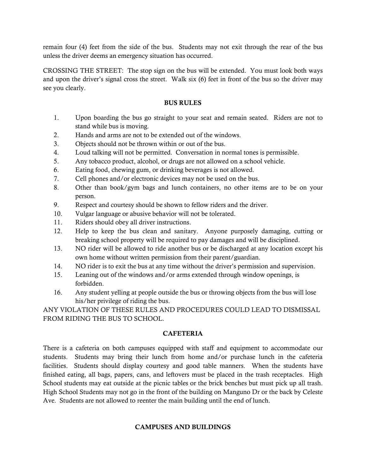remain four (4) feet from the side of the bus. Students may not exit through the rear of the bus unless the driver deems an emergency situation has occurred.

CROSSING THE STREET: The stop sign on the bus will be extended. You must look both ways and upon the driver's signal cross the street. Walk six (6) feet in front of the bus so the driver may see you clearly.

## **BUS RULES**

- 1. Upon boarding the bus go straight to your seat and remain seated. Riders are not to stand while bus is moving.
- 2. Hands and arms are not to be extended out of the windows.
- 3. Objects should not be thrown within or out of the bus.
- 4. Loud talking will not be permitted. Conversation in normal tones is permissible.
- 5. Any tobacco product, alcohol, or drugs are not allowed on a school vehicle.
- 6. Eating food, chewing gum, or drinking beverages is not allowed.
- 7. Cell phones and/or electronic devices may not be used on the bus.
- 8. Other than book/gym bags and lunch containers, no other items are to be on your person.
- 9. Respect and courtesy should be shown to fellow riders and the driver.
- 10. Vulgar language or abusive behavior will not be tolerated.
- 11. Riders should obey all driver instructions.
- 12. Help to keep the bus clean and sanitary. Anyone purposely damaging, cutting or breaking school property will be required to pay damages and will be disciplined.
- 13. NO rider will be allowed to ride another bus or be discharged at any location except his own home without written permission from their parent/guardian.
- 14. NO rider is to exit the bus at any time without the driver's permission and supervision.
- 15. Leaning out of the windows and/or arms extended through window openings, is forbidden.
- 16. Any student yelling at people outside the bus or throwing objects from the bus will lose his/her privilege of riding the bus.

ANY VIOLATION OF THESE RULES AND PROCEDURES COULD LEAD TO DISMISSAL FROM RIDING THE BUS TO SCHOOL.

## **CAFETERIA**

There is a cafeteria on both campuses equipped with staff and equipment to accommodate our students. Students may bring their lunch from home and/or purchase lunch in the cafeteria facilities. Students should display courtesy and good table manners. When the students have finished eating, all bags, papers, cans, and leftovers must be placed in the trash receptacles. High School students may eat outside at the picnic tables or the brick benches but must pick up all trash. High School Students may not go in the front of the building on Manguno Dr or the back by Celeste Ave. Students are not allowed to reenter the main building until the end of lunch.

## **CAMPUSES AND BUILDINGS**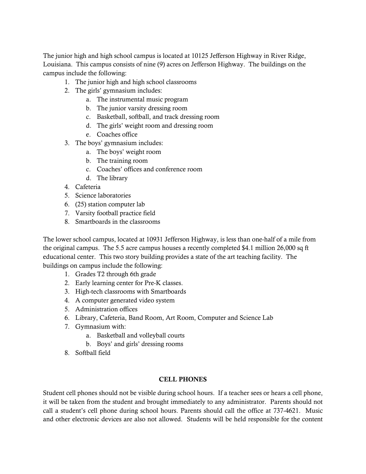The junior high and high school campus is located at 10125 Jefferson Highway in River Ridge, Louisiana. This campus consists of nine (9) acres on Jefferson Highway. The buildings on the campus include the following:

- 1. The junior high and high school classrooms
- 2. The girls' gymnasium includes:
	- a. The instrumental music program
	- b. The junior varsity dressing room
	- c. Basketball, softball, and track dressing room
	- d. The girls' weight room and dressing room
	- e. Coaches office
- 3. The boys' gymnasium includes:
	- a. The boys' weight room
	- b. The training room
	- c. Coaches' offices and conference room
	- d. The library
- 4. Cafeteria
- 5. Science laboratories
- 6. (25) station computer lab
- 7. Varsity football practice field
- 8. Smartboards in the classrooms

The lower school campus, located at 10931 Jefferson Highway, is less than one-half of a mile from the original campus. The 5.5 acre campus houses a recently completed \$4.1 million 26,000 sq ft educational center. This two story building provides a state of the art teaching facility. The buildings on campus include the following:

- 1. Grades T2 through 6th grade
- 2. Early learning center for Pre-K classes.
- 3. High-tech classrooms with Smartboards
- 4. A computer generated video system
- 5. Administration offices
- 6. Library, Cafeteria, Band Room, Art Room, Computer and Science Lab
- 7. Gymnasium with:
	- a. Basketball and volleyball courts
	- b. Boys' and girls' dressing rooms
- 8. Softball field

## **CELL PHONES**

Student cell phones should not be visible during school hours. If a teacher sees or hears a cell phone, it will be taken from the student and brought immediately to any administrator. Parents should not call a student's cell phone during school hours. Parents should call the office at 737-4621. Music and other electronic devices are also not allowed. Students will be held responsible for the content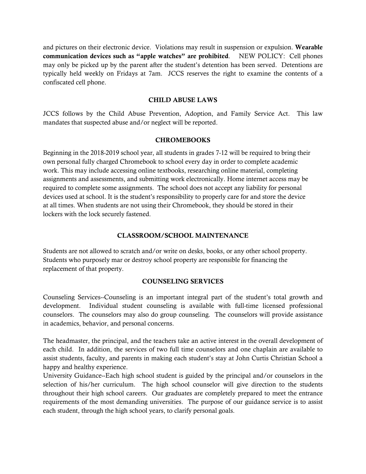and pictures on their electronic device. Violations may result in suspension or expulsion. **Wearable communication devices such as "apple watches" are prohibited**. NEW POLICY: Cell phones may only be picked up by the parent after the student's detention has been served. Detentions are typically held weekly on Fridays at 7am. JCCS reserves the right to examine the contents of a confiscated cell phone.

## **CHILD ABUSE LAWS**

JCCS follows by the Child Abuse Prevention, Adoption, and Family Service Act. This law mandates that suspected abuse and/or neglect will be reported.

## **CHROMEBOOKS**

Beginning in the 2018-2019 school year, all students in grades 7-12 will be required to bring their own personal fully charged Chromebook to school every day in order to complete academic work. This may include accessing online textbooks, researching online material, completing assignments and assessments, and submitting work electronically. Home internet access may be required to complete some assignments. The school does not accept any liability for personal devices used at school. It is the student's responsibility to properly care for and store the device at all times. When students are not using their Chromebook, they should be stored in their lockers with the lock securely fastened.

## **CLASSROOM/SCHOOL MAINTENANCE**

Students are not allowed to scratch and/or write on desks, books, or any other school property. Students who purposely mar or destroy school property are responsible for financing the replacement of that property.

## **COUNSELING SERVICES**

Counseling Services--Counseling is an important integral part of the student's total growth and development. Individual student counseling is available with full-time licensed professional counselors. The counselors may also do group counseling. The counselors will provide assistance in academics, behavior, and personal concerns.

The headmaster, the principal, and the teachers take an active interest in the overall development of each child. In addition, the services of two full time counselors and one chaplain are available to assist students, faculty, and parents in making each student's stay at John Curtis Christian School a happy and healthy experience.

University Guidance--Each high school student is guided by the principal and/or counselors in the selection of his/her curriculum. The high school counselor will give direction to the students throughout their high school careers. Our graduates are completely prepared to meet the entrance requirements of the most demanding universities. The purpose of our guidance service is to assist each student, through the high school years, to clarify personal goals.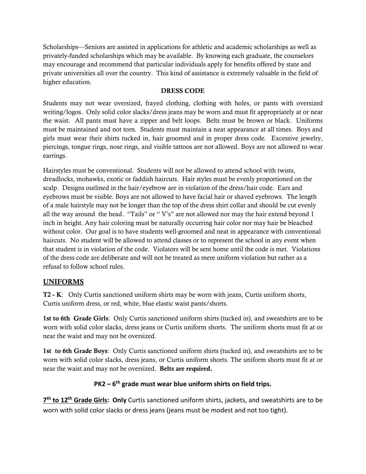Scholarships—Seniors are assisted in applications for athletic and academic scholarships as well as privately-funded scholarships which may be available. By knowing each graduate, the counselors may encourage and recommend that particular individuals apply for benefits offered by state and private universities all over the country. This kind of assistance is extremely valuable in the field of higher education.

# **DRESS CODE**

Students may not wear oversized, frayed clothing, clothing with holes, or pants with oversized writing/logos. Only solid color slacks/dress jeans may be worn and must fit appropriately at or near the waist. All pants must have a zipper and belt loops. Belts must be brown or black. Uniforms must be maintained and not torn. Students must maintain a neat appearance at all times. Boys and girls must wear their shirts tucked in, hair groomed and in proper dress code. Excessive jewelry, piercings, tongue rings, nose rings, and visible tattoos are not allowed. Boys are not allowed to wear earrings.

Hairstyles must be conventional. Students will not be allowed to attend school with twists, dreadlocks, mohawks, exotic or faddish haircuts. Hair styles must be evenly proportioned on the scalp. Designs outlined in the hair/eyebrow are in violation of the dress/hair code. Ears and eyebrows must be visible. Boys are not allowed to have facial hair or shaved eyebrows. The length of a male hairstyle may not be longer than the top of the dress shirt collar and should be cut evenly all the way around the head. "Tails" or " V's" are not allowed nor may the hair extend beyond 1 inch in height. Any hair coloring must be naturally occurring hair color nor may hair be bleached without color. Our goal is to have students well-groomed and neat in appearance with conventional haircuts. No student will be allowed to attend classes or to represent the school in any event when that student is in violation of the code. Violators will be sent home until the code is met. Violations of the dress code are deliberate and will not be treated as mere uniform violation but rather as a refusal to follow school rules.

# **UNIFORMS**

**T2 - K**: Only Curtis sanctioned uniform shirts may be worn with jeans, Curtis uniform shorts, Curtis uniform dress, or red, white, blue elastic waist pants/shorts.

**1st to 6th Grade Girls**: Only Curtis sanctioned uniform shirts (tucked in), and sweatshirts are to be worn with solid color slacks, dress jeans or Curtis uniform shorts. The uniform shorts must fit at or near the waist and may not be oversized.

**1st to 6th Grade Boys**: Only Curtis sanctioned uniform shirts (tucked in), and sweatshirts are to be worn with solid color slacks, dress jeans, or Curtis uniform shorts. The uniform shorts must fit at or near the waist and may not be oversized. **Belts are required.** 

# **PK2 – 6th grade must wear blue uniform shirts on field trips.**

**7th to 12th Grade Girls: Only** Curtis sanctioned uniform shirts, jackets, and sweatshirts are to be worn with solid color slacks or dress jeans (jeans must be modest and not too tight).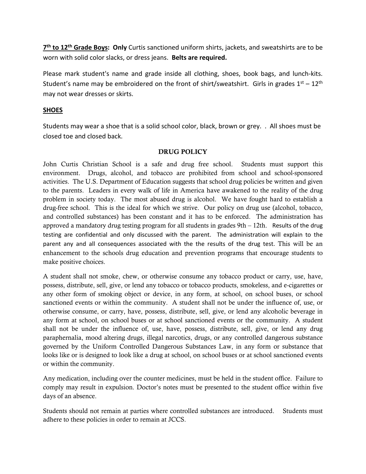**7th to 12th Grade Boys: Only** Curtis sanctioned uniform shirts, jackets, and sweatshirts are to be worn with solid color slacks, or dress jeans. **Belts are required.**

Please mark student's name and grade inside all clothing, shoes, book bags, and lunch-kits. Student's name may be embroidered on the front of shirt/sweatshirt. Girls in grades  $1<sup>st</sup> - 12<sup>th</sup>$ may not wear dresses or skirts.

## **SHOES**

Students may wear a shoe that is a solid school color, black, brown or grey. . All shoes must be closed toe and closed back.

## **DRUG POLICY**

John Curtis Christian School is a safe and drug free school. Students must support this environment. Drugs, alcohol, and tobacco are prohibited from school and school-sponsored activities. The U.S. Department of Education suggests that school drug policies be written and given to the parents. Leaders in every walk of life in America have awakened to the reality of the drug problem in society today. The most abused drug is alcohol. We have fought hard to establish a drug-free school. This is the ideal for which we strive. Our policy on drug use (alcohol, tobacco, and controlled substances) has been constant and it has to be enforced. The administration has approved a mandatory drug testing program for all students in grades  $9th - 12th$ . Results of the drug testing are confidential and only discussed with the parent. The administration will explain to the parent any and all consequences associated with the the results of the drug test. This will be an enhancement to the schools drug education and prevention programs that encourage students to make positive choices.

A student shall not smoke, chew, or otherwise consume any tobacco product or carry, use, have, possess, distribute, sell, give, or lend any tobacco or tobacco products, smokeless, and e-cigarettes or any other form of smoking object or device, in any form, at school, on school buses, or school sanctioned events or within the community. A student shall not be under the influence of, use, or otherwise consume, or carry, have, possess, distribute, sell, give, or lend any alcoholic beverage in any form at school, on school buses or at school sanctioned events or the community. A student shall not be under the influence of, use, have, possess, distribute, sell, give, or lend any drug paraphernalia, mood altering drugs, illegal narcotics, drugs, or any controlled dangerous substance governed by the Uniform Controlled Dangerous Substances Law, in any form or substance that looks like or is designed to look like a drug at school, on school buses or at school sanctioned events or within the community.

Any medication, including over the counter medicines, must be held in the student office. Failure to comply may result in expulsion. Doctor's notes must be presented to the student office within five days of an absence.

Students should not remain at parties where controlled substances are introduced. Students must adhere to these policies in order to remain at JCCS.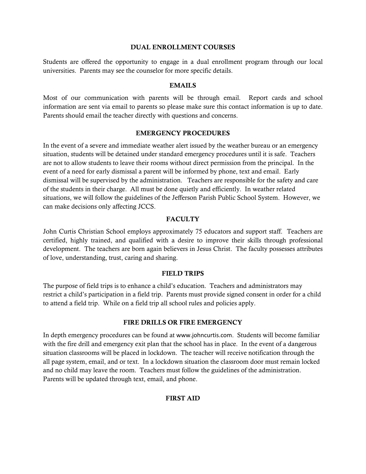#### **DUAL ENROLLMENT COURSES**

Students are offered the opportunity to engage in a dual enrollment program through our local universities. Parents may see the counselor for more specific details.

## **EMAILS**

Most of our communication with parents will be through email. Report cards and school information are sent via email to parents so please make sure this contact information is up to date. Parents should email the teacher directly with questions and concerns.

## **EMERGENCY PROCEDURES**

In the event of a severe and immediate weather alert issued by the weather bureau or an emergency situation, students will be detained under standard emergency procedures until it is safe. Teachers are not to allow students to leave their rooms without direct permission from the principal. In the event of a need for early dismissal a parent will be informed by phone, text and email. Early dismissal will be supervised by the administration. Teachers are responsible for the safety and care of the students in their charge. All must be done quietly and efficiently. In weather related situations, we will follow the guidelines of the Jefferson Parish Public School System. However, we can make decisions only affecting JCCS.

## **FACULTY**

John Curtis Christian School employs approximately 75 educators and support staff. Teachers are certified, highly trained, and qualified with a desire to improve their skills through professional development. The teachers are born again believers in Jesus Christ. The faculty possesses attributes of love, understanding, trust, caring and sharing.

## **FIELD TRIPS**

The purpose of field trips is to enhance a child's education. Teachers and administrators may restrict a child's participation in a field trip. Parents must provide signed consent in order for a child to attend a field trip. While on a field trip all school rules and policies apply.

## **FIRE DRILLS OR FIRE EMERGENCY**

In depth emergency procedures can be found at www.johncurtis.com. Students will become familiar with the fire drill and emergency exit plan that the school has in place. In the event of a dangerous situation classrooms will be placed in lockdown. The teacher will receive notification through the all page system, email, and or text. In a lockdown situation the classroom door must remain locked and no child may leave the room. Teachers must follow the guidelines of the administration. Parents will be updated through text, email, and phone.

## **FIRST AID**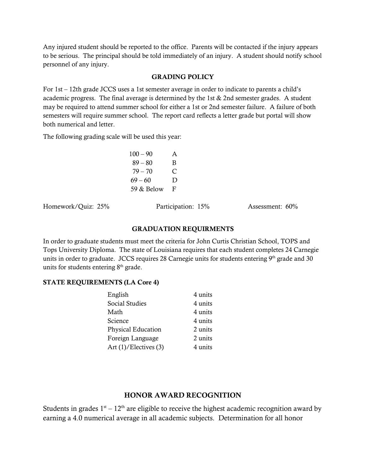Any injured student should be reported to the office. Parents will be contacted if the injury appears to be serious. The principal should be told immediately of an injury. A student should notify school personnel of any injury.

## **GRADING POLICY**

For 1st – 12th grade JCCS uses a 1st semester average in order to indicate to parents a child's academic progress. The final average is determined by the 1st & 2nd semester grades. A student may be required to attend summer school for either a 1st or 2nd semester failure. A failure of both semesters will require summer school. The report card reflects a letter grade but portal will show both numerical and letter.

The following grading scale will be used this year:

| $100 - 90$ | A |
|------------|---|
| $89 - 80$  | B |
| $79 - 70$  | C |
| 69 – 60    | Ð |
| 59 & Below | F |

Homework/Quiz: 25% Participation: 15% Assessment: 60%

## **GRADUATION REQUIRMENTS**

In order to graduate students must meet the criteria for John Curtis Christian School, TOPS and Tops University Diploma. The state of Louisiana requires that each student completes 24 Carnegie units in order to graduate. JCCS requires 28 Carnegie units for students entering 9th grade and 30 units for students entering  $8<sup>th</sup>$  grade.

## **STATE REQUIREMENTS (LA Core 4)**

| English                    | 4 units |
|----------------------------|---------|
| Social Studies             | 4 units |
| Math                       | 4 units |
| Science                    | 4 units |
| <b>Physical Education</b>  | 2 units |
| Foreign Language           | 2 units |
| Art $(1)/$ Electives $(3)$ | 4 units |
|                            |         |

# **HONOR AWARD RECOGNITION**

Students in grades  $1<sup>st</sup> - 12<sup>th</sup>$  are eligible to receive the highest academic recognition award by earning a 4.0 numerical average in all academic subjects. Determination for all honor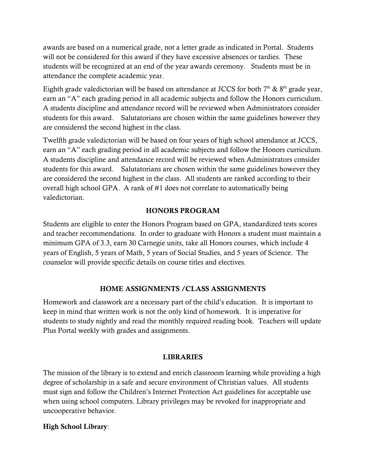awards are based on a numerical grade, not a letter grade as indicated in Portal. Students will not be considered for this award if they have excessive absences or tardies. These students will be recognized at an end of the year awards ceremony. Students must be in attendance the complete academic year.

Eighth grade valedictorian will be based on attendance at JCCS for both  $7<sup>th</sup>$  &  $8<sup>th</sup>$  grade year, earn an "A" each grading period in all academic subjects and follow the Honors curriculum. A students discipline and attendance record will be reviewed when Administrators consider students for this award. Salutatorians are chosen within the same guidelines however they are considered the second highest in the class.

Twelfth grade valedictorian will be based on four years of high school attendance at JCCS, earn an "A" each grading period in all academic subjects and follow the Honors curriculum. A students discipline and attendance record will be reviewed when Administrators consider students for this award. Salutatorians are chosen within the same guidelines however they are considered the second highest in the class. All students are ranked according to their overall high school GPA. A rank of #1 does not correlate to automatically being valedictorian.

# **HONORS PROGRAM**

Students are eligible to enter the Honors Program based on GPA, standardized tests scores and teacher recommendations. In order to graduate with Honors a student must maintain a minimum GPA of 3.3, earn 30 Carnegie units, take all Honors courses, which include 4 years of English, 5 years of Math, 5 years of Social Studies, and 5 years of Science. The counselor will provide specific details on course titles and electives.

# **HOME ASSIGNMENTS /CLASS ASSIGNMENTS**

Homework and classwork are a necessary part of the child's education. It is important to keep in mind that written work is not the only kind of homework. It is imperative for students to study nightly and read the monthly required reading book. Teachers will update Plus Portal weekly with grades and assignments.

# **LIBRARIES**

The mission of the library is to extend and enrich classroom learning while providing a high degree of scholarship in a safe and secure environment of Christian values. All students must sign and follow the Children's Internet Protection Act guidelines for acceptable use when using school computers. Library privileges may be revoked for inappropriate and uncooperative behavior.

# **High School Library**: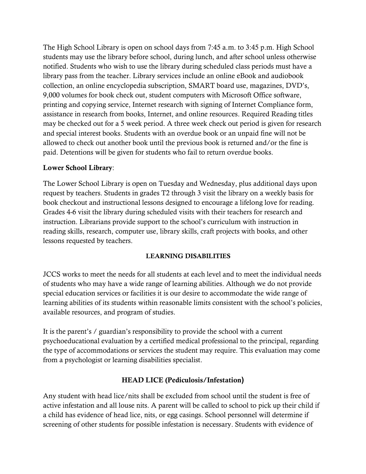The High School Library is open on school days from 7:45 a.m. to 3:45 p.m. High School students may use the library before school, during lunch, and after school unless otherwise notified. Students who wish to use the library during scheduled class periods must have a library pass from the teacher. Library services include an online eBook and audiobook collection, an online encyclopedia subscription, SMART board use, magazines, DVD's, 9,000 volumes for book check out, student computers with Microsoft Office software, printing and copying service, Internet research with signing of Internet Compliance form, assistance in research from books, Internet, and online resources. Required Reading titles may be checked out for a 5 week period. A three week check out period is given for research and special interest books. Students with an overdue book or an unpaid fine will not be allowed to check out another book until the previous book is returned and/or the fine is paid. Detentions will be given for students who fail to return overdue books.

# **Lower School Library**:

The Lower School Library is open on Tuesday and Wednesday, plus additional days upon request by teachers. Students in grades T2 through 3 visit the library on a weekly basis for book checkout and instructional lessons designed to encourage a lifelong love for reading. Grades 4-6 visit the library during scheduled visits with their teachers for research and instruction. Librarians provide support to the school's curriculum with instruction in reading skills, research, computer use, library skills, craft projects with books, and other lessons requested by teachers.

# **LEARNING DISABILITIES**

JCCS works to meet the needs for all students at each level and to meet the individual needs of students who may have a wide range of learning abilities. Although we do not provide special education services or facilities it is our desire to accommodate the wide range of learning abilities of its students within reasonable limits consistent with the school's policies, available resources, and program of studies.

It is the parent's / guardian's responsibility to provide the school with a current psychoeducational evaluation by a certified medical professional to the principal, regarding the type of accommodations or services the student may require. This evaluation may come from a psychologist or learning disabilities specialist.

# **HEAD LICE (Pediculosis/Infestation)**

Any student with head lice/nits shall be excluded from school until the student is free of active infestation and all louse nits. A parent will be called to school to pick up their child if a child has evidence of head lice, nits, or egg casings. School personnel will determine if screening of other students for possible infestation is necessary. Students with evidence of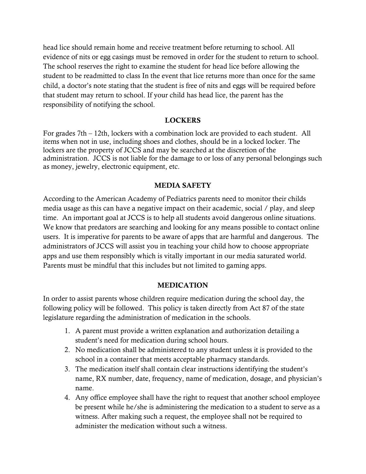head lice should remain home and receive treatment before returning to school. All evidence of nits or egg casings must be removed in order for the student to return to school. The school reserves the right to examine the student for head lice before allowing the student to be readmitted to class In the event that lice returns more than once for the same child, a doctor's note stating that the student is free of nits and eggs will be required before that student may return to school. If your child has head lice, the parent has the responsibility of notifying the school.

# **LOCKERS**

For grades 7th – 12th, lockers with a combination lock are provided to each student. All items when not in use, including shoes and clothes, should be in a locked locker. The lockers are the property of JCCS and may be searched at the discretion of the administration. JCCS is not liable for the damage to or loss of any personal belongings such as money, jewelry, electronic equipment, etc.

# **MEDIA SAFETY**

According to the American Academy of Pediatrics parents need to monitor their childs media usage as this can have a negative impact on their academic, social / play, and sleep time. An important goal at JCCS is to help all students avoid dangerous online situations. We know that predators are searching and looking for any means possible to contact online users. It is imperative for parents to be aware of apps that are harmful and dangerous. The administrators of JCCS will assist you in teaching your child how to choose appropriate apps and use them responsibly which is vitally important in our media saturated world. Parents must be mindful that this includes but not limited to gaming apps.

# **MEDICATION**

In order to assist parents whose children require medication during the school day, the following policy will be followed. This policy is taken directly from Act 87 of the state legislature regarding the administration of medication in the schools.

- 1. A parent must provide a written explanation and authorization detailing a student's need for medication during school hours.
- 2. No medication shall be administered to any student unless it is provided to the school in a container that meets acceptable pharmacy standards.
- 3. The medication itself shall contain clear instructions identifying the student's name, RX number, date, frequency, name of medication, dosage, and physician's name.
- 4. Any office employee shall have the right to request that another school employee be present while he/she is administering the medication to a student to serve as a witness. After making such a request, the employee shall not be required to administer the medication without such a witness.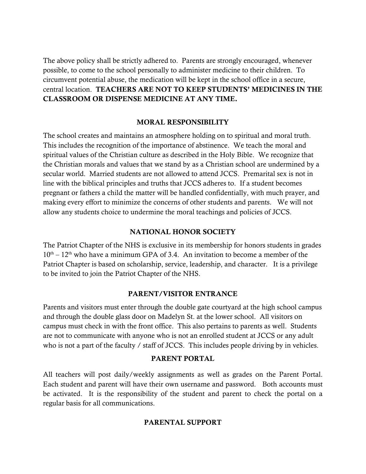The above policy shall be strictly adhered to. Parents are strongly encouraged, whenever possible, to come to the school personally to administer medicine to their children. To circumvent potential abuse, the medication will be kept in the school office in a secure, central location. **TEACHERS ARE NOT TO KEEP STUDENTS' MEDICINES IN THE CLASSROOM OR DISPENSE MEDICINE AT ANY TIME.**

# **MORAL RESPONSIBILITY**

The school creates and maintains an atmosphere holding on to spiritual and moral truth. This includes the recognition of the importance of abstinence. We teach the moral and spiritual values of the Christian culture as described in the Holy Bible. We recognize that the Christian morals and values that we stand by as a Christian school are undermined by a secular world. Married students are not allowed to attend JCCS. Premarital sex is not in line with the biblical principles and truths that JCCS adheres to. If a student becomes pregnant or fathers a child the matter will be handled confidentially, with much prayer, and making every effort to minimize the concerns of other students and parents. We will not allow any students choice to undermine the moral teachings and policies of JCCS.

# **NATIONAL HONOR SOCIETY**

The Patriot Chapter of the NHS is exclusive in its membership for honors students in grades  $10<sup>th</sup> - 12<sup>th</sup>$  who have a minimum GPA of 3.4. An invitation to become a member of the Patriot Chapter is based on scholarship, service, leadership, and character. It is a privilege to be invited to join the Patriot Chapter of the NHS.

# **PARENT/VISITOR ENTRANCE**

Parents and visitors must enter through the double gate courtyard at the high school campus and through the double glass door on Madelyn St. at the lower school. All visitors on campus must check in with the front office. This also pertains to parents as well. Students are not to communicate with anyone who is not an enrolled student at JCCS or any adult who is not a part of the faculty / staff of JCCS. This includes people driving by in vehicles.

## **PARENT PORTAL**

All teachers will post daily/weekly assignments as well as grades on the Parent Portal. Each student and parent will have their own username and password. Both accounts must be activated. It is the responsibility of the student and parent to check the portal on a regular basis for all communications.

# **PARENTAL SUPPORT**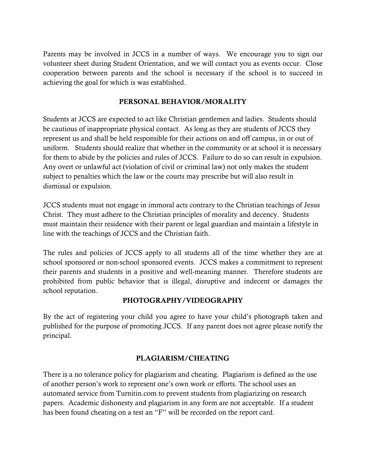Parents may be involved in JCCS in a number of ways. We encourage you to sign our volunteer sheet during Student Orientation, and we will contact you as events occur. Close cooperation between parents and the school is necessary if the school is to succeed in achieving the goal for which is was established.

# **PERSONAL BEHAVIOR/MORALITY**

Students at JCCS are expected to act like Christian gentlemen and ladies. Students should be cautious of inappropriate physical contact. As long as they are students of JCCS they represent us and shall be held responsible for their actions on and off campus, in or out of uniform. Students should realize that whether in the community or at school it is necessary for them to abide by the policies and rules of JCCS. Failure to do so can result in expulsion. Any overt or unlawful act (violation of civil or criminal law) not only makes the student subject to penalties which the law or the courts may prescribe but will also result in dismissal or expulsion.

JCCS students must not engage in immoral acts contrary to the Christian teachings of Jesus Christ. They must adhere to the Christian principles of morality and decency. Students must maintain their residence with their parent or legal guardian and maintain a lifestyle in line with the teachings of JCCS and the Christian faith.

The rules and policies of JCCS apply to all students all of the time whether they are at school sponsored or non-school sponsored events. JCCS makes a commitment to represent their parents and students in a positive and well-meaning manner. Therefore students are prohibited from public behavior that is illegal, disruptive and indecent or damages the school reputation.

# **PHOTOGRAPHY/VIDEOGRAPHY**

By the act of registering your child you agree to have your child's photograph taken and published for the purpose of promoting JCCS. If any parent does not agree please notify the principal.

# **PLAGIARISM/CHEATING**

There is a no tolerance policy for plagiarism and cheating. Plagiarism is defined as the use of another person's work to represent one's own work or efforts. The school uses an automated service from Turnitin.com to prevent students from plagiarizing on research papers. Academic dishonesty and plagiarism in any form are not acceptable. If a student has been found cheating on a test an "F" will be recorded on the report card.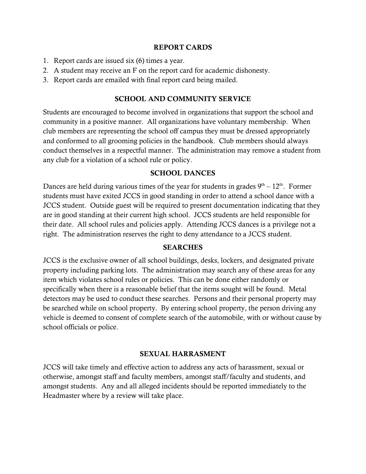## **REPORT CARDS**

- 1. Report cards are issued six (6) times a year.
- 2. A student may receive an F on the report card for academic dishonesty.
- 3. Report cards are emailed with final report card being mailed.

# **SCHOOL AND COMMUNITY SERVICE**

Students are encouraged to become involved in organizations that support the school and community in a positive manner. All organizations have voluntary membership. When club members are representing the school off campus they must be dressed appropriately and conformed to all grooming policies in the handbook. Club members should always conduct themselves in a respectful manner. The administration may remove a student from any club for a violation of a school rule or policy.

# **SCHOOL DANCES**

Dances are held during various times of the year for students in grades  $9<sup>th</sup> - 12<sup>th</sup>$ . Former students must have exited JCCS in good standing in order to attend a school dance with a JCCS student. Outside guest will be required to present documentation indicating that they are in good standing at their current high school. JCCS students are held responsible for their date. All school rules and policies apply. Attending JCCS dances is a privilege not a right. The administration reserves the right to deny attendance to a JCCS student.

# **SEARCHES**

JCCS is the exclusive owner of all school buildings, desks, lockers, and designated private property including parking lots. The administration may search any of these areas for any item which violates school rules or policies. This can be done either randomly or specifically when there is a reasonable belief that the items sought will be found. Metal detectors may be used to conduct these searches. Persons and their personal property may be searched while on school property. By entering school property, the person driving any vehicle is deemed to consent of complete search of the automobile, with or without cause by school officials or police.

# **SEXUAL HARRASMENT**

JCCS will take timely and effective action to address any acts of harassment, sexual or otherwise, amongst staff and faculty members, amongst staff/faculty and students, and amongst students. Any and all alleged incidents should be reported immediately to the Headmaster where by a review will take place.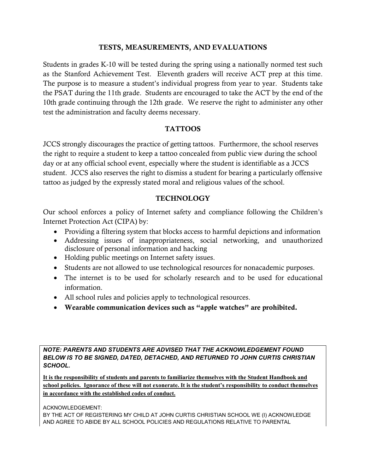# **TESTS, MEASUREMENTS, AND EVALUATIONS**

Students in grades K-10 will be tested during the spring using a nationally normed test such as the Stanford Achievement Test. Eleventh graders will receive ACT prep at this time. The purpose is to measure a student's individual progress from year to year. Students take the PSAT during the 11th grade. Students are encouraged to take the ACT by the end of the 10th grade continuing through the 12th grade. We reserve the right to administer any other test the administration and faculty deems necessary.

# **TATTOOS**

JCCS strongly discourages the practice of getting tattoos. Furthermore, the school reserves the right to require a student to keep a tattoo concealed from public view during the school day or at any official school event, especially where the student is identifiable as a JCCS student. JCCS also reserves the right to dismiss a student for bearing a particularly offensive tattoo as judged by the expressly stated moral and religious values of the school.

# **TECHNOLOGY**

Our school enforces a policy of Internet safety and compliance following the Children's Internet Protection Act (CIPA) by:

- Providing a filtering system that blocks access to harmful depictions and information
- Addressing issues of inappropriateness, social networking, and unauthorized disclosure of personal information and hacking
- Holding public meetings on Internet safety issues.
- Students are not allowed to use technological resources for nonacademic purposes.
- The internet is to be used for scholarly research and to be used for educational information.
- All school rules and policies apply to technological resources.
- **Wearable communication devices such as "apple watches" are prohibited.**

*NOTE: PARENTS AND STUDENTS ARE ADVISED THAT THE ACKNOWLEDGEMENT FOUND BELOW IS TO BE SIGNED, DATED, DETACHED, AND RETURNED TO JOHN CURTIS CHRISTIAN SCHOOL.*

**It is the responsibility of students and parents to familiarize themselves with the Student Handbook and school policies. Ignorance of these will not exonerate. It is the student's responsibility to conduct themselves in accordance with the established codes of conduct.**

ACKNOWLEDGEMENT:

BY THE ACT OF REGISTERING MY CHILD AT JOHN CURTIS CHRISTIAN SCHOOL WE (I) ACKNOWLEDGE AND AGREE TO ABIDE BY ALL SCHOOL POLICIES AND REGULATIONS RELATIVE TO PARENTAL